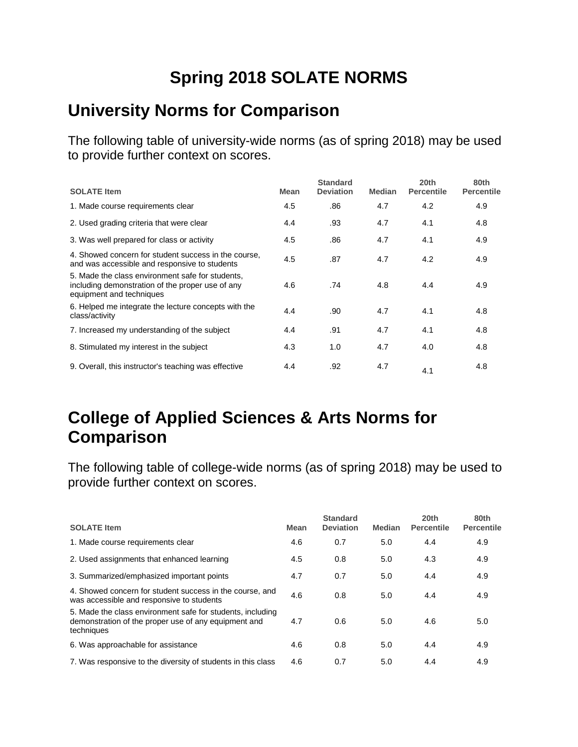# **Spring 2018 SOLATE NORMS**

#### **University Norms for Comparison**

The following table of university-wide norms (as of spring 2018) may be used to provide further context on scores.

| <b>SOLATE Item</b>                                                                                                               | <b>Mean</b> | <b>Standard</b><br><b>Deviation</b> | <b>Median</b> | 20th<br><b>Percentile</b> | 80th<br><b>Percentile</b> |
|----------------------------------------------------------------------------------------------------------------------------------|-------------|-------------------------------------|---------------|---------------------------|---------------------------|
| 1. Made course requirements clear                                                                                                | 4.5         | .86                                 | 4.7           | 4.2                       | 4.9                       |
| 2. Used grading criteria that were clear                                                                                         | 4.4         | .93                                 | 4.7           | 4.1                       | 4.8                       |
| 3. Was well prepared for class or activity                                                                                       | 4.5         | .86                                 | 4.7           | 4.1                       | 4.9                       |
| 4. Showed concern for student success in the course,<br>and was accessible and responsive to students                            | 4.5         | .87                                 | 4.7           | 4.2                       | 4.9                       |
| 5. Made the class environment safe for students,<br>including demonstration of the proper use of any<br>equipment and techniques | 4.6         | .74                                 | 4.8           | 4.4                       | 4.9                       |
| 6. Helped me integrate the lecture concepts with the<br>class/activity                                                           | 4.4         | .90                                 | 4.7           | 4.1                       | 4.8                       |
| 7. Increased my understanding of the subject                                                                                     | 4.4         | .91                                 | 4.7           | 4.1                       | 4.8                       |
| 8. Stimulated my interest in the subject                                                                                         | 4.3         | 1.0                                 | 4.7           | 4.0                       | 4.8                       |
| 9. Overall, this instructor's teaching was effective                                                                             | 4.4         | .92                                 | 4.7           | 4.1                       | 4.8                       |

### **College of Applied Sciences & Arts Norms for Comparison**

| <b>SOLATE Item</b>                                                                                                               | Mean | <b>Standard</b><br><b>Deviation</b> | Median | 20th<br><b>Percentile</b> | 80th<br><b>Percentile</b> |
|----------------------------------------------------------------------------------------------------------------------------------|------|-------------------------------------|--------|---------------------------|---------------------------|
| 1. Made course requirements clear                                                                                                | 4.6  | 0.7                                 | 5.0    | 4.4                       | 4.9                       |
| 2. Used assignments that enhanced learning                                                                                       | 4.5  | 0.8                                 | 5.0    | 4.3                       | 4.9                       |
| 3. Summarized/emphasized important points                                                                                        | 4.7  | 0.7                                 | 5.0    | 4.4                       | 4.9                       |
| 4. Showed concern for student success in the course, and<br>was accessible and responsive to students                            | 4.6  | 0.8                                 | 5.0    | 4.4                       | 4.9                       |
| 5. Made the class environment safe for students, including<br>demonstration of the proper use of any equipment and<br>techniques | 4.7  | 0.6                                 | 5.0    | 4.6                       | 5.0                       |
| 6. Was approachable for assistance                                                                                               | 4.6  | 0.8                                 | 5.0    | 4.4                       | 4.9                       |
| 7. Was responsive to the diversity of students in this class                                                                     | 4.6  | 0.7                                 | 5.0    | 4.4                       | 4.9                       |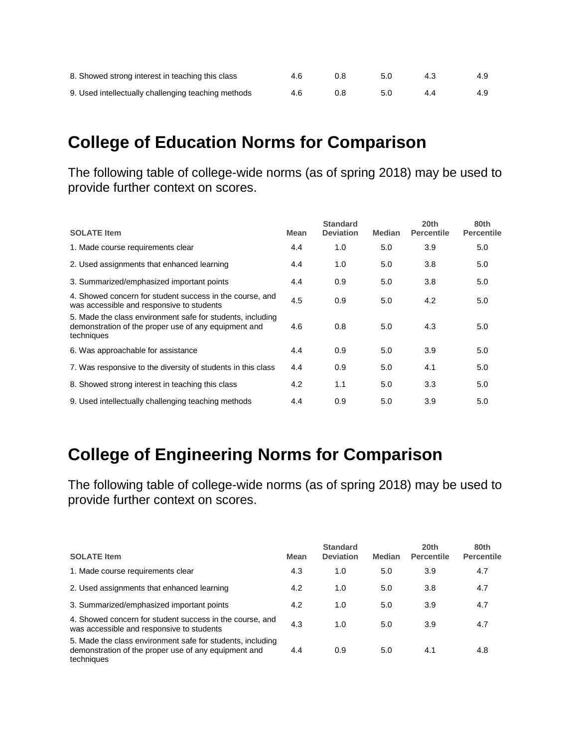| 8. Showed strong interest in teaching this class    | 46 K | 0.8 | -5.0 | 4.3 | 4.9 |
|-----------------------------------------------------|------|-----|------|-----|-----|
| 9. Used intellectually challenging teaching methods | 4.6  | 0.8 | 5.0  | 44  | 4.9 |

#### **College of Education Norms for Comparison**

The following table of college-wide norms (as of spring 2018) may be used to provide further context on scores.

| <b>SOLATE Item</b>                                                                                                               | <b>Mean</b> | <b>Standard</b><br><b>Deviation</b> | <b>Median</b> | 20th<br><b>Percentile</b> | 80th<br><b>Percentile</b> |
|----------------------------------------------------------------------------------------------------------------------------------|-------------|-------------------------------------|---------------|---------------------------|---------------------------|
| 1. Made course requirements clear                                                                                                | 4.4         | 1.0                                 | 5.0           | 3.9                       | 5.0                       |
| 2. Used assignments that enhanced learning                                                                                       | 4.4         | 1.0                                 | 5.0           | 3.8                       | 5.0                       |
| 3. Summarized/emphasized important points                                                                                        | 4.4         | 0.9                                 | 5.0           | 3.8                       | 5.0                       |
| 4. Showed concern for student success in the course, and<br>was accessible and responsive to students                            | 4.5         | 0.9                                 | 5.0           | 4.2                       | 5.0                       |
| 5. Made the class environment safe for students, including<br>demonstration of the proper use of any equipment and<br>techniques | 4.6         | 0.8                                 | 5.0           | 4.3                       | 5.0                       |
| 6. Was approachable for assistance                                                                                               | 4.4         | 0.9                                 | 5.0           | 3.9                       | 5.0                       |
| 7. Was responsive to the diversity of students in this class                                                                     | 4.4         | 0.9                                 | 5.0           | 4.1                       | 5.0                       |
| 8. Showed strong interest in teaching this class                                                                                 | 4.2         | 1.1                                 | 5.0           | 3.3 <sub>2</sub>          | 5.0                       |
| 9. Used intellectually challenging teaching methods                                                                              | 4.4         | 0.9                                 | 5.0           | 3.9                       | 5.0                       |

### **College of Engineering Norms for Comparison**

| <b>SOLATE Item</b>                                                                                                               | <b>Mean</b> | <b>Standard</b><br><b>Deviation</b> | <b>Median</b> | 20 <sub>th</sub><br><b>Percentile</b> | 80th<br><b>Percentile</b> |
|----------------------------------------------------------------------------------------------------------------------------------|-------------|-------------------------------------|---------------|---------------------------------------|---------------------------|
| 1. Made course requirements clear                                                                                                | 4.3         | 1.0                                 | 5.0           | 3.9                                   | 4.7                       |
| 2. Used assignments that enhanced learning                                                                                       | 4.2         | 1.0                                 | 5.0           | 3.8                                   | 4.7                       |
| 3. Summarized/emphasized important points                                                                                        | 4.2         | 1.0                                 | 5.0           | 3.9                                   | 4.7                       |
| 4. Showed concern for student success in the course, and<br>was accessible and responsive to students                            | 4.3         | 1.0                                 | 5.0           | 3.9                                   | 4.7                       |
| 5. Made the class environment safe for students, including<br>demonstration of the proper use of any equipment and<br>techniques | 4.4         | 0.9                                 | 5.0           | 4.1                                   | 4.8                       |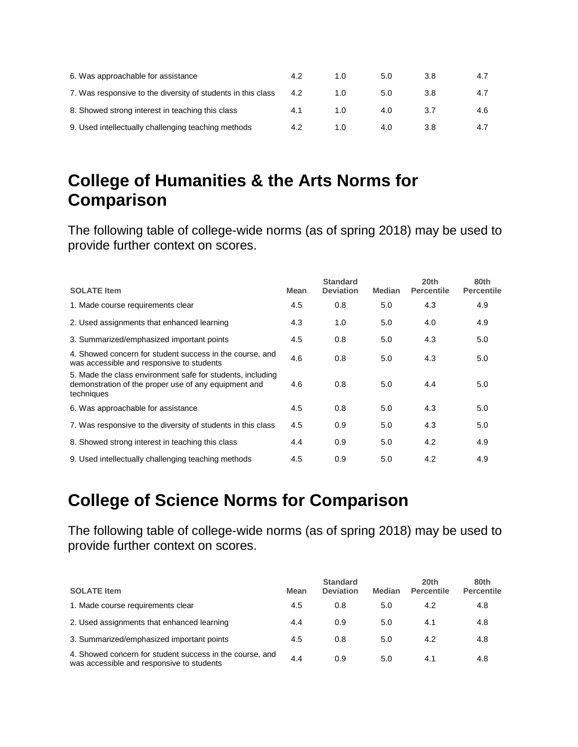| 6. Was approachable for assistance                           | 4.2 | 1.0 | 5.0 | 3.8 | 4.7 |
|--------------------------------------------------------------|-----|-----|-----|-----|-----|
| 7. Was responsive to the diversity of students in this class | 4.2 | 1.0 | 5.0 | 3.8 |     |
| 8. Showed strong interest in teaching this class             | 4.1 | 1.0 | 4.0 |     | 4.6 |
| 9. Used intellectually challenging teaching methods          | 4.2 | 1.0 | 4.0 | 3.8 | 4.7 |

### **College of Humanities & the Arts Norms for Comparison**

The following table of college-wide norms (as of spring 2018) may be used to provide further context on scores.

| <b>SOLATE Item</b>                                                                                                               | Mean | <b>Standard</b><br><b>Deviation</b> | <b>Median</b> | 20th<br><b>Percentile</b> | 80th<br><b>Percentile</b> |
|----------------------------------------------------------------------------------------------------------------------------------|------|-------------------------------------|---------------|---------------------------|---------------------------|
| 1. Made course requirements clear                                                                                                | 4.5  | 0.8                                 | 5.0           | 4.3                       | 4.9                       |
| 2. Used assignments that enhanced learning                                                                                       | 4.3  | 1.0                                 | 5.0           | 4.0                       | 4.9                       |
| 3. Summarized/emphasized important points                                                                                        | 4.5  | 0.8                                 | 5.0           | 4.3                       | 5.0                       |
| 4. Showed concern for student success in the course, and<br>was accessible and responsive to students                            | 4.6  | 0.8                                 | 5.0           | 4.3                       | 5.0                       |
| 5. Made the class environment safe for students, including<br>demonstration of the proper use of any equipment and<br>techniques | 4.6  | 0.8                                 | 5.0           | 4.4                       | 5.0                       |
| 6. Was approachable for assistance                                                                                               | 4.5  | 0.8                                 | 5.0           | 4.3                       | 5.0                       |
| 7. Was responsive to the diversity of students in this class                                                                     | 4.5  | 0.9                                 | 5.0           | 4.3                       | 5.0                       |
| 8. Showed strong interest in teaching this class                                                                                 | 4.4  | 0.9                                 | 5.0           | 4.2                       | 4.9                       |
| 9. Used intellectually challenging teaching methods                                                                              | 4.5  | 0.9                                 | 5.0           | 4.2                       | 4.9                       |

## **College of Science Norms for Comparison**

| <b>SOLATE Item</b>                                                                                    | <b>Mean</b> | <b>Standard</b><br><b>Deviation</b> | <b>Median</b> | 20th<br><b>Percentile</b> | 80th<br><b>Percentile</b> |
|-------------------------------------------------------------------------------------------------------|-------------|-------------------------------------|---------------|---------------------------|---------------------------|
| 1. Made course requirements clear                                                                     | 4.5         | 0.8                                 | 5.0           | 4.2                       | 4.8                       |
| 2. Used assignments that enhanced learning                                                            | 4.4         | 0.9                                 | 5.0           | 4.1                       | 4.8                       |
| 3. Summarized/emphasized important points                                                             | 4.5         | 0.8                                 | 5.0           | 4.2                       | 4.8                       |
| 4. Showed concern for student success in the course, and<br>was accessible and responsive to students | 4.4         | 0.9                                 | 5.0           | 4.1                       | 4.8                       |